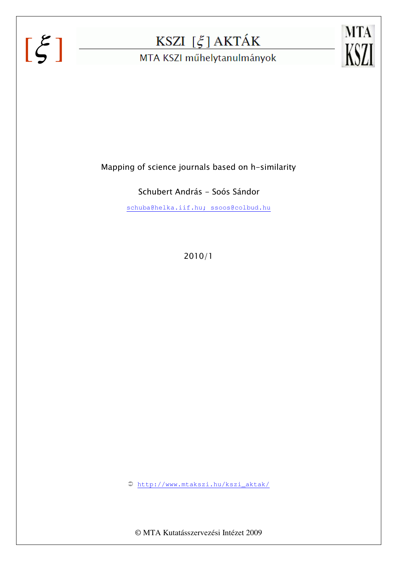# $[\xi]$



MTA KSZI műhelytanulmányok



Mapping of science journals based on h-similarity

Schubert András - Soós Sándor

schuba@helka.iif.hu; ssoos@colbud.hu

2010/1

http://www.mtakszi.hu/kszi\_aktak/

© MTA Kutatásszervezési Intézet 2009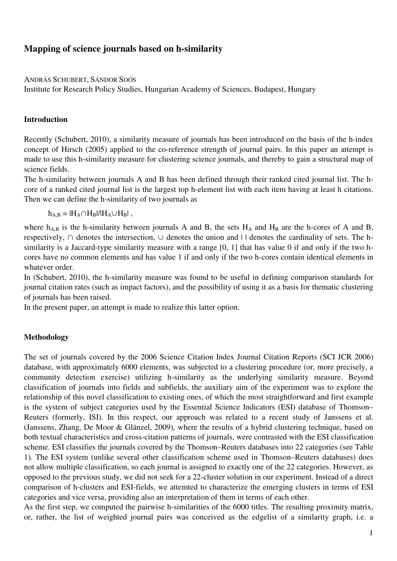## **Mapping of science journals based on h-similarity**

ANDRÁS SCHUBERT, SÁNDOR SOÓS

Institute for Research Policy Studies, Hungarian Academy of Sciences, Budapest, Hungary

### **Introduction**

Recently (Schubert, 2010), a similarity measure of journals has been introduced on the basis of the h-index concept of Hirsch (2005) applied to the co-reference strength of journal pairs. In this paper an attempt is made to use this h-similarity measure for clustering science journals, and thereby to gain a structural map of science fields.

The h-similarity between journals A and B has been defined through their ranked cited journal list. The hcore of a ranked cited journal list is the largest top h-element list with each item having at least h citations. Then we can define the h-similarity of two journals as

 $h_{A,B} = |H_A \cap H_B|/|H_A \cup H_B|$ ,

where  $h_{A,B}$  is the h-similarity between journals A and B, the sets  $H_A$  and  $H_B$  are the h-cores of A and B, respectively, ∩ denotes the intersection, ∪ denotes the union and | | denotes the cardinality of sets. The hsimilarity is a Jaccard-type similarity measure with a range [0, 1] that has value 0 if and only if the two hcores have no common elements and has value 1 if and only if the two h-cores contain identical elements in whatever order.

In (Schubert, 2010), the h-similarity measure was found to be useful in defining comparison standards for journal citation rates (such as impact factors), and the possibility of using it as a basis for thematic clustering of journals has been raised.

In the present paper, an attempt is made to realize this latter option.

#### **Methodology**

The set of journals covered by the 2006 Science Citation Index Journal Citation Reports (SCI JCR 2006) database, with approximately 6000 elements, was subjected to a clustering procedure (or, more precisely, a community detection exercise) utilizing h-similarity as the underlying similarity measure. Beyond classification of journals into fields and subfields, the auxiliary aim of the experiment was to explore the relationship of this novel classification to existing ones, of which the most straightforward and first example is the system of subject categories used by the Essential Science Indicators (ESI) database of Thomson– Reuters (formerly, ISI). In this respect, our approach was related to a recent study of Janssens et al. (Janssens, Zhang, De Moor & Glänzel, 2009), where the results of a hybrid clustering technique, based on both textual characteristics and cross-citation patterns of journals, were contrasted with the ESI classification scheme. ESI classifies the journals covered by the Thomson–Reuters databases into 22 categories (see Table 1). The ESI system (unlike several other classification scheme used in Thomson–Reuters databases) does not allow multiple classification, so each journal is assigned to exactly one of the 22 categories. However, as opposed to the previous study, we did not seek for a 22-cluster solution in our experiment. Instead of a direct comparison of h-clusters and ESI-fields, we attemted to characterize the emerging clusters in terms of ESI categories and vice versa, providing also an interpretation of them in terms of each other.

As the first step, we computed the pairwise h-similarities of the 6000 titles. The resulting proximity matrix, or, rather, the list of weighted journal pairs was conceived as the edgelist of a similarity graph, i.e. a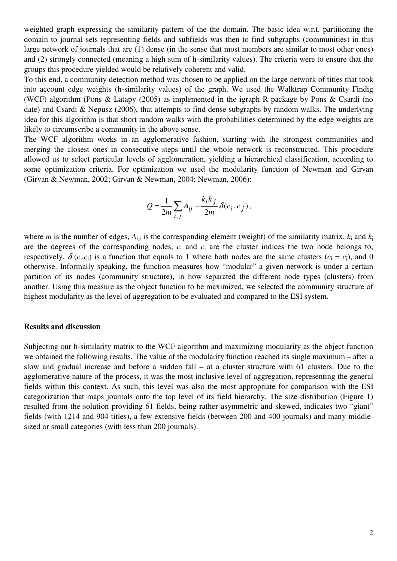weighted graph expressing the similarity pattern of the the domain. The basic idea w.r.t. partitioning the domain to journal sets representing fields and subfields was then to find subgraphs (communities) in this large network of journals that are (1) dense (in the sense that most members are similar to most other ones) and (2) strongly connected (meaning a high sum of h-similarity values). The criteria were to ensure that the groups this procedure yielded would be relatively coherent and valid.

To this end, a community detection method was chosen to be applied on the large network of titles that took into account edge weights (h-similarity values) of the graph. We used the Walktrap Community Findig (WCF) algorithm (Pons & Latapy (2005) as implemented in the igraph R package by Pons & Csardi (no date) and Csardi & Nepusz (2006), that attempts to find dense subgraphs by random walks. The underlying idea for this algorithm is that short random walks with the probabilities determined by the edge weights are likely to circumscribe a community in the above sense.

The WCF algorithm works in an agglomerative fashion, starting with the strongest communities and merging the closest ones in consecutive steps until the whole network is reconstructed. This procedure allowed us to select particular levels of agglomeration, yielding a hierarchical classification, according to some optimization criteria. For optimization we used the modularity function of Newman and Girvan (Girvan & Newman, 2002; Girvan & Newman, 2004; Newman, 2006):

$$
Q = \frac{1}{2m} \sum_{i,j} A_{ij} - \frac{k_i k_j}{2m} \delta(c_i, c_j),
$$

where *m* is the number of edges,  $A_{i,j}$  is the corresponding element (weight) of the similarity matrix,  $k_i$  and  $k_j$ are the degrees of the corresponding nodes,  $c_i$  and  $c_j$  are the cluster indices the two node belongs to, respectively.  $\delta(c_i, c_j)$  is a function that equals to 1 where both nodes are the same clusters  $(c_i = c_j)$ , and 0 otherwise. Informally speaking, the function measures how "modular" a given network is under a certain partition of its nodes (community structure), in how separated the different node types (clusters) from another. Using this measure as the object function to be maximized, we selected the community structure of highest modularity as the level of aggregation to be evaluated and compared to the ESI system.

#### **Results and discussion**

Subjecting our h-similarity matrix to the WCF algorithm and maximizing modularity as the object function we obtained the following results. The value of the modularity function reached its single maximum – after a slow and gradual increase and before a sudden fall – at a cluster structure with 61 clusters. Due to the agglomerative nature of the process, it was the most inclusive level of aggregation, representing the general fields within this context. As such, this level was also the most appropriate for comparison with the ESI categorization that maps journals onto the top level of its field hierarchy. The size distribution (Figure 1) resulted from the solution providing 61 fields, being rather asymmetric and skewed, indicates two "giant" fields (with 1214 and 904 titles), a few extensive fields (between 200 and 400 journals) and many middlesized or small categories (with less than 200 journals).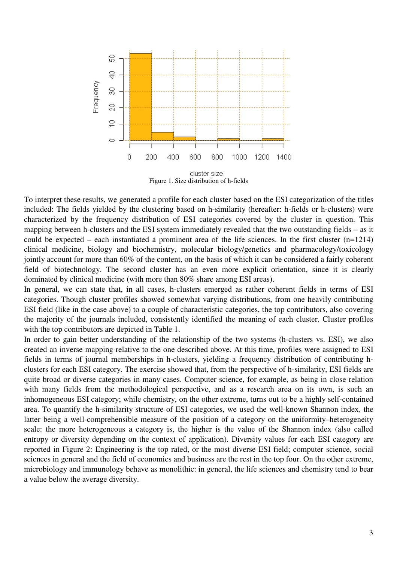

To interpret these results, we generated a profile for each cluster based on the ESI categorization of the titles included: The fields yielded by the clustering based on h-similarity (hereafter: h-fields or h-clusters) were characterized by the frequency distribution of ESI categories covered by the cluster in question. This mapping between h-clusters and the ESI system immediately revealed that the two outstanding fields – as it could be expected – each instantiated a prominent area of the life sciences. In the first cluster (n=1214) clinical medicine, biology and biochemistry, molecular biology/genetics and pharmacology/toxicology jointly account for more than 60% of the content, on the basis of which it can be considered a fairly coherent field of biotechnology. The second cluster has an even more explicit orientation, since it is clearly dominated by clinical medicine (with more than 80% share among ESI areas).

In general, we can state that, in all cases, h-clusters emerged as rather coherent fields in terms of ESI categories. Though cluster profiles showed somewhat varying distributions, from one heavily contributing ESI field (like in the case above) to a couple of characteristic categories, the top contributors, also covering the majority of the journals included, consistently identified the meaning of each cluster. Cluster profiles with the top contributors are depicted in Table 1.

In order to gain better understanding of the relationship of the two systems (h-clusters vs. ESI), we also created an inverse mapping relative to the one described above. At this time, profiles were assigned to ESI fields in terms of journal memberships in h-clusters, yielding a frequency distribution of contributing hclusters for each ESI category. The exercise showed that, from the perspective of h-similarity, ESI fields are quite broad or diverse categories in many cases. Computer science, for example, as being in close relation with many fields from the methodological perspective, and as a research area on its own, is such an inhomogeneous ESI category; while chemistry, on the other extreme, turns out to be a highly self-contained area. To quantify the h-similarity structure of ESI categories, we used the well-known Shannon index, the latter being a well-comprehensible measure of the position of a category on the uniformity–heterogeneity scale: the more heterogeneous a category is, the higher is the value of the Shannon index (also called entropy or diversity depending on the context of application). Diversity values for each ESI category are reported in Figure 2: Engineering is the top rated, or the most diverse ESI field; computer science, social sciences in general and the field of economics and business are the rest in the top four. On the other extreme, microbiology and immunology behave as monolithic: in general, the life sciences and chemistry tend to bear a value below the average diversity.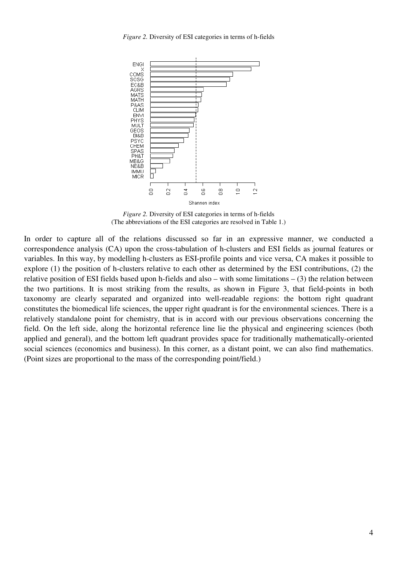*Figure 2.* Diversity of ESI categories in terms of h-fields



*Figure 2.* Diversity of ESI categories in terms of h-fields (The abbreviations of the ESI categories are resolved in Table 1.)

In order to capture all of the relations discussed so far in an expressive manner, we conducted a correspondence analysis (CA) upon the cross-tabulation of h-clusters and ESI fields as journal features or variables. In this way, by modelling h-clusters as ESI-profile points and vice versa, CA makes it possible to explore (1) the position of h-clusters relative to each other as determined by the ESI contributions, (2) the relative position of ESI fields based upon h-fields and also – with some limitations – (3) the relation between the two partitions. It is most striking from the results, as shown in Figure 3, that field-points in both taxonomy are clearly separated and organized into well-readable regions: the bottom right quadrant constitutes the biomedical life sciences, the upper right quadrant is for the environmental sciences. There is a relatively standalone point for chemistry, that is in accord with our previous observations concerning the field. On the left side, along the horizontal reference line lie the physical and engineering sciences (both applied and general), and the bottom left quadrant provides space for traditionally mathematically-oriented social sciences (economics and business). In this corner, as a distant point, we can also find mathematics. (Point sizes are proportional to the mass of the corresponding point/field.)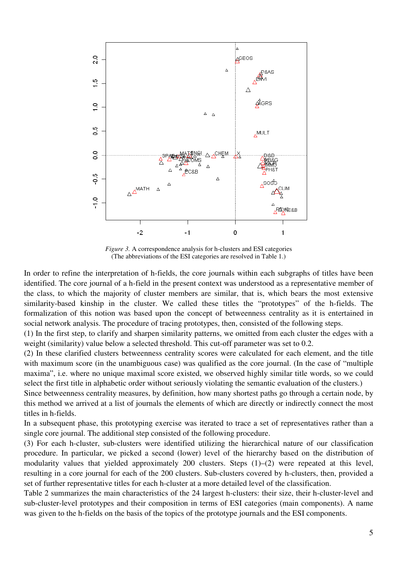

*Figure 3.* A correspondence analysis for h-clusters and ESI categories (The abbreviations of the ESI categories are resolved in Table 1.)

In order to refine the interpretation of h-fields, the core journals within each subgraphs of titles have been identified. The core journal of a h-field in the present context was understood as a representative member of the class, to which the majority of cluster members are similar, that is, which bears the most extensive similarity-based kinship in the cluster. We called these titles the "prototypes" of the h-fields. The formalization of this notion was based upon the concept of betweenness centrality as it is entertained in social network analysis. The procedure of tracing prototypes, then, consisted of the following steps.

(1) In the first step, to clarify and sharpen similarity patterns, we omitted from each cluster the edges with a weight (similarity) value below a selected threshold. This cut-off parameter was set to 0.2.

(2) In these clarified clusters betweenness centrality scores were calculated for each element, and the title with maximum score (in the unambiguous case) was qualified as the core journal. (In the case of "multiple" maxima", i.e. where no unique maximal score existed, we observed highly similar title words, so we could select the first title in alphabetic order without seriously violating the semantic evaluation of the clusters.)

Since betweenness centrality measures, by definition, how many shortest paths go through a certain node, by this method we arrived at a list of journals the elements of which are directly or indirectly connect the most titles in h-fields.

In a subsequent phase, this prototyping exercise was iterated to trace a set of representatives rather than a single core journal. The additional step consisted of the following procedure.

(3) For each h-cluster, sub-clusters were identified utilizing the hierarchical nature of our classification procedure. In particular, we picked a second (lower) level of the hierarchy based on the distribution of modularity values that yielded approximately 200 clusters. Steps (1)–(2) were repeated at this level, resulting in a core journal for each of the 200 clusters. Sub-clusters covered by h-clusters, then, provided a set of further representative titles for each h-cluster at a more detailed level of the classification.

Table 2 summarizes the main characteristics of the 24 largest h-clusters: their size, their h-cluster-level and sub-cluster-level prototypes and their composition in terms of ESI categories (main components). A name was given to the h-fields on the basis of the topics of the prototype journals and the ESI components.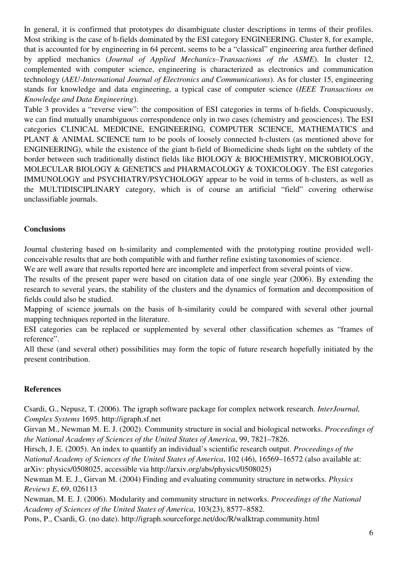In general, it is confirmed that prototypes do disambiguate cluster descriptions in terms of their profiles. Most striking is the case of h-fields dominated by the ESI category ENGINEERING. Cluster 8, for example, that is accounted for by engineering in 64 percent, seems to be a "classical" engineering area further defined by applied mechanics (*Journal of Applied Mechanics–Transactions of the ASME*). In cluster 12, complemented with computer science, engineering is characterized as electronics and communication technology (*AEU-International Journal of Electronics and Communications*). As for cluster 15, engineering stands for knowledge and data engineering, a typical case of computer science (*IEEE Transactions on Knowledge and Data Engineering*).

Table 3 provides a "reverse view": the composition of ESI categories in terms of h-fields. Conspicuously, we can find mutually unambiguous correspondence only in two cases (chemistry and geosciences). The ESI categories CLINICAL MEDICINE, ENGINEERING, COMPUTER SCIENCE, MATHEMATICS and PLANT & ANIMAL SCIENCE turn to be pools of loosely connected h-clusters (as mentioned above for ENGINEERING), while the existence of the giant h-field of Biomedicine sheds light on the subtlety of the border between such traditionally distinct fields like BIOLOGY & BIOCHEMISTRY, MICROBIOLOGY, MOLECULAR BIOLOGY & GENETICS and PHARMACOLOGY & TOXICOLOGY. The ESI categories IMMUNOLOGY and PSYCHIATRY/PSYCHOLOGY appear to be void in terms of h-clusters, as well as the MULTIDISCIPLINARY category, which is of course an artificial "field" covering otherwise unclassifiable journals.

## **Conclusions**

Journal clustering based on h-similarity and complemented with the prototyping routine provided wellconceivable results that are both compatible with and further refine existing taxonomies of science.

We are well aware that results reported here are incomplete and imperfect from several points of view.

The results of the present paper were based on citation data of one single year (2006). By extending the research to several years, the stability of the clusters and the dynamics of formation and decomposition of fields could also be studied.

Mapping of science journals on the basis of h-similarity could be compared with several other journal mapping techniques reported in the literature.

ESI categories can be replaced or supplemented by several other classification schemes as "frames of reference".

All these (and several other) possibilities may form the topic of future research hopefully initiated by the present contribution.

## **References**

Csardi, G., Nepusz, T. (2006). The igraph software package for complex network research. *InterJournal, Complex Systems* 1695. http://igraph.sf.net

Girvan M., Newman M. E. J. (2002). Community structure in social and biological networks. *Proceedings of the National Academy of Sciences of the United States of America*, 99, 7821–7826.

Hirsch, J. E. (2005). An index to quantify an individual's scientific research output. *Proceedings of the National Academy of Sciences of the United States of America*, 102 (46), 16569–16572 (also available at: arXiv: physics/0508025, accessible via http://arxiv.org/abs/physics/0508025)

Newman M. E. J., Girvan M. (2004) Finding and evaluating community structure in networks. *Physics Reviews E*, 69, 026113

Newman, M. E. J. (2006). Modularity and community structure in networks. *Proceedings of the National Academy of Sciences of the United States of America*, 103(23), 8577–8582.

Pons, P., Csardi, G. (no date). http://igraph.sourceforge.net/doc/R/walktrap.community.html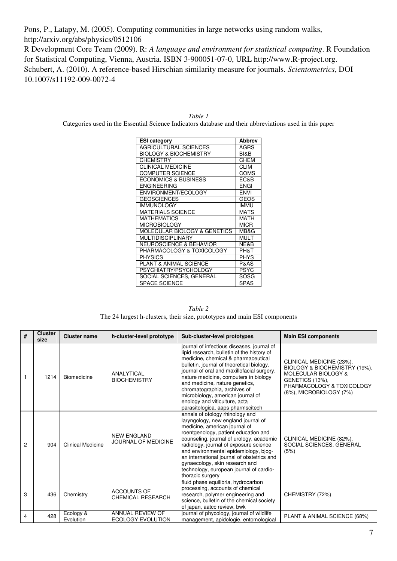Pons, P., Latapy, M. (2005). Computing communities in large networks using random walks, http://arxiv.org/abs/physics/0512106

R Development Core Team (2009). R: *A language and environment for statistical computing*. R Foundation for Statistical Computing, Vienna, Austria. ISBN 3-900051-07-0, URL http://www.R-project.org. Schubert, A. (2010). A reference-based Hirschian similarity measure for journals. *Scientometrics*, DOI 10.1007/s11192-009-0072-4

| <b>ESI category</b>                | <b>Abbrev</b> |
|------------------------------------|---------------|
| <b>AGRICULTURAL SCIENCES</b>       | <b>AGRS</b>   |
| <b>BIOLOGY &amp; BIOCHEMISTRY</b>  | BI&B          |
| <b>CHEMISTRY</b>                   | <b>CHEM</b>   |
| <b>CLINICAL MEDICINE</b>           | <b>CLIM</b>   |
| <b>COMPUTER SCIENCE</b>            | <b>COMS</b>   |
| <b>ECONOMICS &amp; BUSINESS</b>    | EC&B          |
| <b>ENGINEERING</b>                 | <b>ENGI</b>   |
| ENVIRONMENT/ECOLOGY                | <b>ENVI</b>   |
| <b>GEOSCIENCES</b>                 | GEOS          |
| <b>IMMUNOLOGY</b>                  | <b>IMMU</b>   |
| <b>MATERIALS SCIENCE</b>           | <b>MATS</b>   |
| <b>MATHEMATICS</b>                 | MATH          |
| <b>MICROBIOLOGY</b>                | <b>MICR</b>   |
| MOLECULAR BIOLOGY & GENETICS       | MB&G          |
| <b>MULTIDISCIPLINARY</b>           | <b>MULT</b>   |
| <b>NEUROSCIENCE &amp; BEHAVIOR</b> | NE&B          |
| PHARMACOLOGY & TOXICOLOGY          | PH&T          |
| <b>PHYSICS</b>                     | <b>PHYS</b>   |
| <b>PLANT &amp; ANIMAL SCIENCE</b>  | P&AS          |
| PSYCHIATRY/PSYCHOLOGY              | <b>PSYC</b>   |
| SOCIAL SCIENCES, GENERAL           | SOSG          |
| <b>SPACE SCIENCE</b>               | <b>SPAS</b>   |

*Table 1*  Categories used in the Essential Science Indicators database and their abbreviations used in this paper

*Table 2*  The 24 largest h-clusters, their size, prototypes and main ESI components

| #              | <b>Cluster</b><br>size | <b>Cluster name</b>      | h-cluster-level prototype                      | Sub-cluster-level prototypes                                                                                                                                                                                                                                                                                                                                                                                                                     | <b>Main ESI components</b>                                                                                                                                         |
|----------------|------------------------|--------------------------|------------------------------------------------|--------------------------------------------------------------------------------------------------------------------------------------------------------------------------------------------------------------------------------------------------------------------------------------------------------------------------------------------------------------------------------------------------------------------------------------------------|--------------------------------------------------------------------------------------------------------------------------------------------------------------------|
|                | 1214                   | Biomedicine              | <b>ANALYTICAL</b><br><b>BIOCHEMISTRY</b>       | journal of infectious diseases, journal of<br>lipid research, bulletin of the history of<br>medicine, chemical & pharmaceutical<br>bulletin, journal of theoretical biology,<br>journal of oral and maxillofacial surgery,<br>nature medicine, computers in biology<br>and medicine, nature genetics,<br>chromatographia, archives of<br>microbiology, american journal of<br>enology and viticulture, acta<br>parasitologica, aaps pharmscitech | CLINICAL MEDICINE (23%),<br>BIOLOGY & BIOCHEMISTRY (19%),<br>MOLECULAR BIOLOGY &<br><b>GENETICS (13%),</b><br>PHARMACOLOGY & TOXICOLOGY<br>(8%), MICROBIOLOGY (7%) |
| $\overline{c}$ | 904                    | <b>Clinical Medicine</b> | <b>NEW ENGLAND</b><br>JOURNAL OF MEDICINE      | annals of otology rhinology and<br>laryngology, new england journal of<br>medicine, american journal of<br>roentgenology, patient education and<br>counseling, journal of urology, academic<br>radiology, journal of exposure science<br>and environmental epidemiology, bjog-<br>an international journal of obstetrics and<br>gynaecology, skin research and<br>technology, european journal of cardio-<br>thoracic surgery                    | CLINICAL MEDICINE (82%),<br>SOCIAL SCIENCES, GENERAL<br>(5%)                                                                                                       |
| 3              | 436                    | Chemistry                | <b>ACCOUNTS OF</b><br><b>CHEMICAL RESEARCH</b> | fluid phase equilibria, hydrocarbon<br>processing, accounts of chemical<br>research, polymer engineering and<br>science, bulletin of the chemical society<br>of japan, aatcc review, bwk                                                                                                                                                                                                                                                         | CHEMISTRY (72%)                                                                                                                                                    |
| 4              | 428                    | Ecology &<br>Evolution   | ANNUAL REVIEW OF<br>ECOLOGY EVOLUTION          | journal of phycology, journal of wildlife<br>management, apidologie, entomological                                                                                                                                                                                                                                                                                                                                                               | PLANT & ANIMAL SCIENCE (68%)                                                                                                                                       |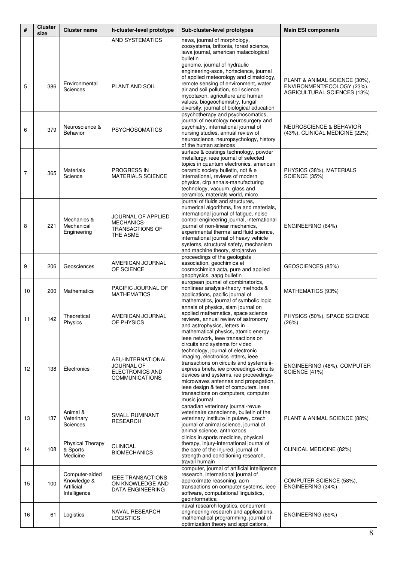| #  | <b>Cluster</b><br>size | <b>Cluster name</b>                                         | h-cluster-level prototype                                                            | Sub-cluster-level prototypes                                                                                                                                                                                                                                                                                                                                                                                              | <b>Main ESI components</b>                                                                 |
|----|------------------------|-------------------------------------------------------------|--------------------------------------------------------------------------------------|---------------------------------------------------------------------------------------------------------------------------------------------------------------------------------------------------------------------------------------------------------------------------------------------------------------------------------------------------------------------------------------------------------------------------|--------------------------------------------------------------------------------------------|
|    |                        |                                                             | AND SYSTEMATICS                                                                      | news, journal of morphology,<br>zoosystema, brittonia, forest science,<br>iawa journal, american malacological<br>bulletin                                                                                                                                                                                                                                                                                                |                                                                                            |
| 5  | 386                    | Environmental<br><b>Sciences</b>                            | PLANT AND SOIL                                                                       | genome, journal of hydraulic<br>engineering-asce, hortscience, journal<br>of applied meteorology and climatology,<br>remote sensing of environment, water<br>air and soil pollution, soil science,<br>mycotaxon, agriculture and human<br>values, biogeochemistry, fungal<br>diversity, journal of biological education                                                                                                   | PLANT & ANIMAL SCIENCE (30%),<br>ENVIRONMENT/ECOLOGY (23%),<br>AGRICULTURAL SCIENCES (13%) |
| 6  | 379                    | Neuroscience &<br><b>Behavior</b>                           | <b>PSYCHOSOMATICS</b>                                                                | psychotherapy and psychosomatics,<br>journal of neurology neurosurgery and<br>psychiatry, international journal of<br>nursing studies, annual review of<br>neuroscience, neuropsychology, history<br>of the human sciences                                                                                                                                                                                                | <b>NEUROSCIENCE &amp; BEHAVIOR</b><br>(43%), CLINICAL MEDICINE (22%)                       |
| 7  | 365                    | <b>Materials</b><br>Science                                 | <b>PROGRESS IN</b><br><b>MATERIALS SCIENCE</b>                                       | surface & coatings technology, powder<br>metallurgy, ieee journal of selected<br>topics in quantum electronics, american<br>ceramic society bulletin, ndt & e<br>international, reviews of modern<br>physics, cirp annals-manufacturing<br>technology, vacuum, glass and<br>ceramics, materials world, micro                                                                                                              | PHYSICS (38%), MATERIALS<br>SCIENCE (35%)                                                  |
| 8  | 221                    | Mechanics &<br>Mechanical<br>Engineering                    | <b>JOURNAL OF APPLIED</b><br><b>MECHANICS-</b><br><b>TRANSACTIONS OF</b><br>THE ASME | journal of fluids and structures,<br>numerical algorithms, fire and materials,<br>international journal of fatigue, noise<br>control engineering journal, international<br>journal of non-linear mechanics,<br>experimental thermal and fluid science,<br>international journal of heavy vehicle<br>systems, structural safety, mechanism<br>and machine theory, strojarstvo                                              | ENGINEERING (64%)                                                                          |
| 9  | 206                    | Geosciences                                                 | AMERICAN JOURNAL<br>OF SCIENCE                                                       | proceedings of the geologists<br>association, geochimica et<br>cosmochimica acta, pure and applied<br>geophysics, aapg bulletin                                                                                                                                                                                                                                                                                           | GEOSCIENCES (85%)                                                                          |
| 10 | 200                    | <b>Mathematics</b>                                          | PACIFIC JOURNAL OF<br><b>MATHEMATICS</b>                                             | european journal of combinatorics,<br>nonlinear analysis-theory methods &<br>applications, pacific journal of<br>mathematics, journal of symbolic logic                                                                                                                                                                                                                                                                   | MATHEMATICS (93%)                                                                          |
| 11 | 142                    | Theoretical<br>Physics                                      | AMERICAN JOURNAL<br>OF PHYSICS                                                       | annals of physics, siam journal on<br>applied mathematics, space science<br>reviews, annual review of astronomy<br>and astrophysics, letters in<br>mathematical physics, atomic energy                                                                                                                                                                                                                                    | PHYSICS (50%), SPACE SCIENCE<br>(26%)                                                      |
| 12 | 138                    | Electronics                                                 | AEU-INTERNATIONAL<br>JOURNAL OF<br>ELECTRONICS AND<br><b>COMMUNICATIONS</b>          | ieee network, ieee transactions on<br>circuits and systems for video<br>technology, journal of electronic<br>imaging, electronics letters, ieee<br>transactions on circuits and systems ii-<br>express briefs, iee proceedings-circuits<br>devices and systems, iee proceedings-<br>microwaves antennas and propagation,<br>ieee design & test of computers, ieee<br>transactions on computers, computer<br>music journal | ENGINEERING (48%), COMPUTER<br>SCIENCE (41%)                                               |
| 13 | 137                    | Animal &<br>Veterinary<br>Sciences                          | <b>SMALL RUMINANT</b><br><b>RESEARCH</b>                                             | canadian veterinary journal-revue<br>veterinaire canadienne, bulletin of the<br>veterinary institute in pulawy, czech<br>journal of animal science, journal of<br>animal science, anthrozoos                                                                                                                                                                                                                              | PLANT & ANIMAL SCIENCE (88%)                                                               |
| 14 | 108                    | <b>Physical Therapy</b><br>& Sports<br>Medicine             | <b>CLINICAL</b><br><b>BIOMECHANICS</b>                                               | clinics in sports medicine, physical<br>therapy, injury-international journal of<br>the care of the injured, journal of<br>strength and conditioning research,<br>travail humain                                                                                                                                                                                                                                          | CLINICAL MEDICINE (82%)                                                                    |
| 15 | 100                    | Computer-aided<br>Knowledge &<br>Artificial<br>Intelligence | <b>IEEE TRANSACTIONS</b><br>ON KNOWLEDGE AND<br>DATA ENGINEERING                     | computer, journal of artificial intelligence<br>research, international journal of<br>approximate reasoning, acm<br>transactions on computer systems, ieee<br>software, computational linguistics,<br>geoinformatica                                                                                                                                                                                                      | COMPUTER SCIENCE (58%),<br>ENGINEERING (34%)                                               |
| 16 | 61                     | Logistics                                                   | NAVAL RESEARCH<br>LOGISTICS                                                          | naval research logistics, concurrent<br>engineering-research and applications,<br>mathematical programming, journal of<br>optimization theory and applications,                                                                                                                                                                                                                                                           | ENGINEERING (69%)                                                                          |